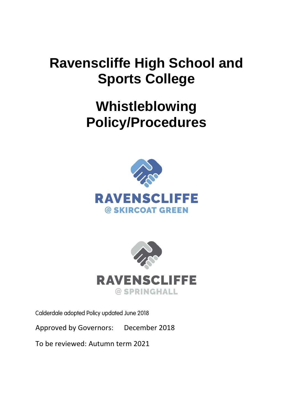# **Ravenscliffe High School and Sports College**

# **Whistleblowing Policy/Procedures**





Calderdale adopted Policy updated June 2018

Approved by Governors: December 2018

To be reviewed: Autumn term 2021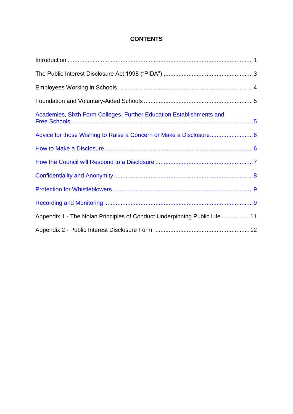## **CONTENTS**

| Academies, Sixth Form Colleges, Further Education Establishments and      |  |
|---------------------------------------------------------------------------|--|
|                                                                           |  |
|                                                                           |  |
|                                                                           |  |
|                                                                           |  |
|                                                                           |  |
|                                                                           |  |
| Appendix 1 - The Nolan Principles of Conduct Underpinning Public Life  11 |  |
|                                                                           |  |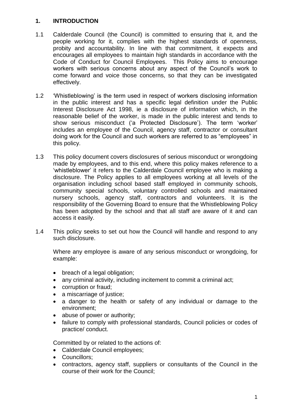#### <span id="page-2-0"></span>**1. INTRODUCTION**

- 1.1 Calderdale Council (the Council) is committed to ensuring that it, and the people working for it, complies with the highest standards of openness, probity and accountability. In line with that commitment, it expects and encourages all employees to maintain high standards in accordance with the Code of Conduct for Council Employees. This Policy aims to encourage workers with serious concerns about any aspect of the Council's work to come forward and voice those concerns, so that they can be investigated effectively.
- 1.2 'Whistleblowing' is the term used in respect of workers disclosing information in the public interest and has a specific legal definition under the Public Interest Disclosure Act 1998, ie a disclosure of information which, in the reasonable belief of the worker, is made in the public interest and tends to show serious misconduct ('a Protected Disclosure'). The term 'worker' includes an employee of the Council, agency staff, contractor or consultant doing work for the Council and such workers are referred to as "employees" in this policy.
- 1.3 This policy document covers disclosures of serious misconduct or wrongdoing made by employees, and to this end, where this policy makes reference to a 'whistleblower' it refers to the Calderdale Council employee who is making a disclosure. The Policy applies to all employees working at all levels of the organisation including school based staff employed in community schools, community special schools, voluntary controlled schools and maintained nursery schools, agency staff, contractors and volunteers. It is the responsibility of the Governing Board to ensure that the Whistleblowing Policy has been adopted by the school and that all staff are aware of it and can access it easily.
- 1.4 This policy seeks to set out how the Council will handle and respond to any such disclosure.

Where any employee is aware of any serious misconduct or wrongdoing, for example:

- breach of a legal obligation;
- any criminal activity, including incitement to commit a criminal act;
- corruption or fraud;
- a miscarriage of justice:
- a danger to the health or safety of any individual or damage to the environment;
- abuse of power or authority;
- failure to comply with professional standards, Council policies or codes of practice/ conduct.

Committed by or related to the actions of:

- Calderdale Council employees;
- Councillors:
- contractors, agency staff, suppliers or consultants of the Council in the course of their work for the Council;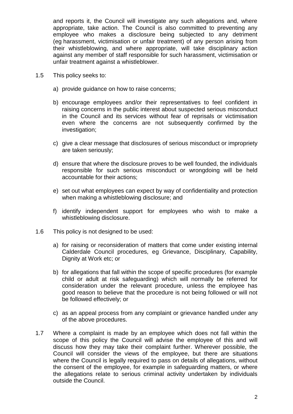and reports it, the Council will investigate any such allegations and, where appropriate, take action. The Council is also committed to preventing any employee who makes a disclosure being subjected to any detriment (eg harassment, victimisation or unfair treatment) of any person arising from their whistleblowing, and where appropriate, will take disciplinary action against any member of staff responsible for such harassment, victimisation or unfair treatment against a whistleblower.

- 1.5 This policy seeks to:
	- a) provide guidance on how to raise concerns;
	- b) encourage employees and/or their representatives to feel confident in raising concerns in the public interest about suspected serious misconduct in the Council and its services without fear of reprisals or victimisation even where the concerns are not subsequently confirmed by the investigation:
	- c) give a clear message that disclosures of serious misconduct or impropriety are taken seriously;
	- d) ensure that where the disclosure proves to be well founded, the individuals responsible for such serious misconduct or wrongdoing will be held accountable for their actions;
	- e) set out what employees can expect by way of confidentiality and protection when making a whistleblowing disclosure; and
	- f) identify independent support for employees who wish to make a whistleblowing disclosure.
- 1.6 This policy is not designed to be used:
	- a) for raising or reconsideration of matters that come under existing internal Calderdale Council procedures, eg Grievance, Disciplinary, Capability, Dignity at Work etc; or
	- b) for allegations that fall within the scope of specific procedures (for example child or adult at risk safeguarding) which will normally be referred for consideration under the relevant procedure, unless the employee has good reason to believe that the procedure is not being followed or will not be followed effectively; or
	- c) as an appeal process from any complaint or grievance handled under any of the above procedures.
- 1.7 Where a complaint is made by an employee which does not fall within the scope of this policy the Council will advise the employee of this and will discuss how they may take their complaint further. Wherever possible, the Council will consider the views of the employee, but there are situations where the Council is legally required to pass on details of allegations, without the consent of the employee, for example in safeguarding matters, or where the allegations relate to serious criminal activity undertaken by individuals outside the Council.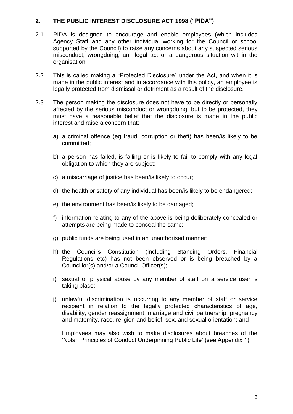#### <span id="page-4-0"></span>**2. THE PUBLIC INTEREST DISCLOSURE ACT 1998 ("PIDA")**

- 2.1 PIDA is designed to encourage and enable employees (which includes Agency Staff and any other individual working for the Council or school supported by the Council) to raise any concerns about any suspected serious misconduct, wrongdoing, an illegal act or a dangerous situation within the organisation.
- 2.2 This is called making a "Protected Disclosure" under the Act, and when it is made in the public interest and in accordance with this policy, an employee is legally protected from dismissal or detriment as a result of the disclosure.
- 2.3 The person making the disclosure does not have to be directly or personally affected by the serious misconduct or wrongdoing, but to be protected, they must have a reasonable belief that the disclosure is made in the public interest and raise a concern that:
	- a) a criminal offence (eg fraud, corruption or theft) has been/is likely to be committed;
	- b) a person has failed, is failing or is likely to fail to comply with any legal obligation to which they are subject;
	- c) a miscarriage of justice has been/is likely to occur;
	- d) the health or safety of any individual has been/is likely to be endangered;
	- e) the environment has been/is likely to be damaged;
	- f) information relating to any of the above is being deliberately concealed or attempts are being made to conceal the same;
	- g) public funds are being used in an unauthorised manner;
	- h) the Council's Constitution (including Standing Orders, Financial Regulations etc) has not been observed or is being breached by a Councillor(s) and/or a Council Officer(s);
	- i) sexual or physical abuse by any member of staff on a service user is taking place;
	- j) unlawful discrimination is occurring to any member of staff or service recipient in relation to the legally protected characteristics of age, disability, gender reassignment, marriage and civil partnership, pregnancy and maternity, race, religion and belief, sex, and sexual orientation; and

Employees may also wish to make disclosures about breaches of the 'Nolan Principles of Conduct Underpinning Public Life' (see Appendix 1)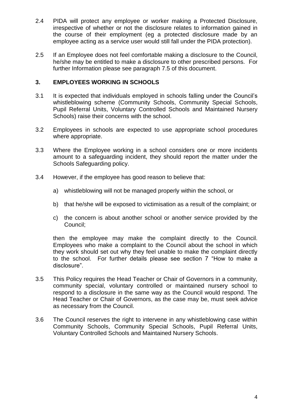- 2.4 PIDA will protect any employee or worker making a Protected Disclosure, irrespective of whether or not the disclosure relates to information gained in the course of their employment (eg a protected disclosure made by an employee acting as a service user would still fall under the PIDA protection).
- 2.5 If an Employee does not feel comfortable making a disclosure to the Council, he/she may be entitled to make a disclosure to other prescribed persons. For further Information please see paragraph 7.5 of this document.

#### <span id="page-5-0"></span>**3. EMPLOYEES WORKING IN SCHOOLS**

- 3.1 It is expected that individuals employed in schools falling under the Council's whistleblowing scheme (Community Schools, Community Special Schools, Pupil Referral Units, Voluntary Controlled Schools and Maintained Nursery Schools) raise their concerns with the school.
- 3.2 Employees in schools are expected to use appropriate school procedures where appropriate.
- 3.3 Where the Employee working in a school considers one or more incidents amount to a safeguarding incident, they should report the matter under the Schools Safeguarding policy.
- 3.4 However, if the employee has good reason to believe that:
	- a) whistleblowing will not be managed properly within the school, or
	- b) that he/she will be exposed to victimisation as a result of the complaint; or
	- c) the concern is about another school or another service provided by the Council;

then the employee may make the complaint directly to the Council. Employees who make a complaint to the Council about the school in which they work should set out why they feel unable to make the complaint directly to the school. For further details please see section 7 "How to make a disclosure".

- 3.5 This Policy requires the Head Teacher or Chair of Governors in a community, community special, voluntary controlled or maintained nursery school to respond to a disclosure in the same way as the Council would respond. The Head Teacher or Chair of Governors, as the case may be, must seek advice as necessary from the Council.
- 3.6 The Council reserves the right to intervene in any whistleblowing case within Community Schools, Community Special Schools, Pupil Referral Units, Voluntary Controlled Schools and Maintained Nursery Schools.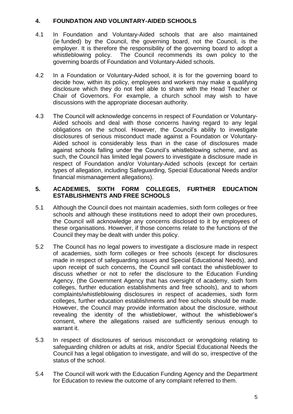#### <span id="page-6-0"></span>**4. FOUNDATION AND VOLUNTARY-AIDED SCHOOLS**

- 4.1 In Foundation and Voluntary-Aided schools that are also maintained (ie funded) by the Council, the governing board, not the Council, is the employer. It is therefore the responsibility of the governing board to adopt a whistleblowing policy. The Council recommends its own policy to the governing boards of Foundation and Voluntary-Aided schools.
- 4.2 In a Foundation or Voluntary-Aided school, it is for the governing board to decide how, within its policy, employees and workers may make a qualifying disclosure which they do not feel able to share with the Head Teacher or Chair of Governors. For example, a church school may wish to have discussions with the appropriate diocesan authority.
- 4.3 The Council will acknowledge concerns in respect of Foundation or Voluntary-Aided schools and deal with those concerns having regard to any legal obligations on the school. However, the Council's ability to investigate disclosures of serious misconduct made against a Foundation or Voluntary-Aided school is considerably less than in the case of disclosures made against schools falling under the Council's whistleblowing scheme, and as such, the Council has limited legal powers to investigate a disclosure made in respect of Foundation and/or Voluntary-Aided schools (except for certain types of allegation, including Safeguarding, Special Educational Needs and/or financial mismanagement allegations).

#### <span id="page-6-1"></span>**5. ACADEMIES, SIXTH FORM COLLEGES, FURTHER EDUCATION ESTABLISHMENTS AND FREE SCHOOLS**

- 5.1 Although the Council does not maintain academies, sixth form colleges or free schools and although these institutions need to adopt their own procedures, the Council will acknowledge any concerns disclosed to it by employees of these organisations. However, if those concerns relate to the functions of the Council they may be dealt with under this policy.
- 5.2 The Council has no legal powers to investigate a disclosure made in respect of academies, sixth form colleges or free schools (except for disclosures made in respect of safeguarding issues and Special Educational Needs), and upon receipt of such concerns, the Council will contact the whistleblower to discuss whether or not to refer the disclosure to the Education Funding Agency, (the Government Agency that has oversight of academy, sixth form colleges, further education establishments and free schools), and to whom complaints/whistleblowing disclosures in respect of academies, sixth form colleges, further education establishments and free schools should be made. However, the Council may provide information about the disclosure, without revealing the identity of the whistleblower, without the whistleblower's consent, where the allegations raised are sufficiently serious enough to warrant it.
- 5.3 In respect of disclosures of serious misconduct or wrongdoing relating to safeguarding children or adults at risk, and/or Special Educational Needs the Council has a legal obligation to investigate, and will do so, irrespective of the status of the school.
- 5.4 The Council will work with the Education Funding Agency and the Department for Education to review the outcome of any complaint referred to them.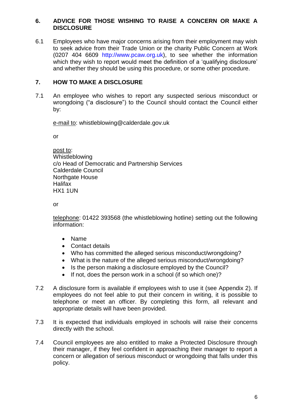#### <span id="page-7-0"></span>**6. ADVICE FOR THOSE WISHING TO RAISE A CONCERN OR MAKE A DISCLOSURE**

6.1 Employees who have major concerns arising from their employment may wish to seek advice from their Trade Union or the charity Public Concern at Work (0207 404 6609 http://www.pcaw.org.uk), to see whether the information which they wish to report would meet the definition of a 'qualifying disclosure' and whether they should be using this procedure, or some other procedure.

#### <span id="page-7-1"></span>**7. HOW TO MAKE A DISCLOSURE**

7.1 An employee who wishes to report any suspected serious misconduct or wrongdoing ("a disclosure") to the Council should contact the Council either by:

e-mail to: whistleblowing@calderdale.gov.uk

or

post to: Whistleblowing c/o Head of Democratic and Partnership Services Calderdale Council Northgate House **Halifax** HX1 1UN

or

telephone: 01422 393568 (the whistleblowing hotline) setting out the following information:

- Name
- Contact details
- Who has committed the alleged serious misconduct/wrongdoing?
- What is the nature of the alleged serious misconduct/wrongdoing?
- Is the person making a disclosure employed by the Council?
- If not, does the person work in a school (if so which one)?
- 7.2 A disclosure form is available if employees wish to use it (see Appendix 2). If employees do not feel able to put their concern in writing, it is possible to telephone or meet an officer. By completing this form, all relevant and appropriate details will have been provided.
- 7.3 It is expected that individuals employed in schools will raise their concerns directly with the school.
- 7.4 Council employees are also entitled to make a Protected Disclosure through their manager, if they feel confident in approaching their manager to report a concern or allegation of serious misconduct or wrongdoing that falls under this policy.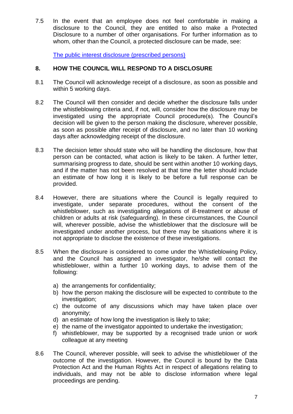7.5 In the event that an employee does not feel comfortable in making a disclosure to the Council, they are entitled to also make a Protected Disclosure to a number of other organisations. For further information as to whom, other than the Council, a protected disclosure can be made, see:

[The public interest disclosure \(prescribed persons\)](https://www.gov.uk/government/uploads/system/uploads/attachment_data/file/510962/BIS-16-79-blowing-the-whistle-to-a-prescribed-person.pdf)

#### <span id="page-8-0"></span>**8. HOW THE COUNCIL WILL RESPOND TO A DISCLOSURE**

- 8.1 The Council will acknowledge receipt of a disclosure, as soon as possible and within 5 working days.
- 8.2 The Council will then consider and decide whether the disclosure falls under the whistleblowing criteria and, if not, will, consider how the disclosure may be investigated using the appropriate Council procedure(s). The Council's decision will be given to the person making the disclosure, wherever possible, as soon as possible after receipt of disclosure, and no later than 10 working days after acknowledging receipt of the disclosure.
- 8.3 The decision letter should state who will be handling the disclosure, how that person can be contacted, what action is likely to be taken. A further letter, summarising progress to date, should be sent within another 10 working days, and if the matter has not been resolved at that time the letter should include an estimate of how long it is likely to be before a full response can be provided.
- 8.4 However, there are situations where the Council is legally required to investigate, under separate procedures, without the consent of the whistleblower, such as investigating allegations of ill-treatment or abuse of children or adults at risk (safeguarding). In these circumstances, the Council will, wherever possible, advise the whistleblower that the disclosure will be investigated under another process, but there may be situations where it is not appropriate to disclose the existence of these investigations.
- 8.5 When the disclosure is considered to come under the Whistleblowing Policy, and the Council has assigned an investigator, he/she will contact the whistleblower, within a further 10 working days, to advise them of the following:
	- a) the arrangements for confidentiality;
	- b) how the person making the disclosure will be expected to contribute to the investigation:
	- c) the outcome of any discussions which may have taken place over anonymity;
	- d) an estimate of how long the investigation is likely to take;
	- e) the name of the investigator appointed to undertake the investigation;
	- f) whistleblower, may be supported by a recognised trade union or work colleague at any meeting
- 8.6 The Council, wherever possible, will seek to advise the whistleblower of the outcome of the investigation. However, the Council is bound by the Data Protection Act and the Human Rights Act in respect of allegations relating to individuals, and may not be able to disclose information where legal proceedings are pending.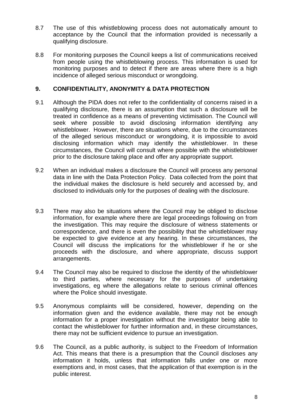- 8.7 The use of this whistleblowing process does not automatically amount to acceptance by the Council that the information provided is necessarily a qualifying disclosure.
- 8.8 For monitoring purposes the Council keeps a list of communications received from people using the whistleblowing process. This information is used for monitoring purposes and to detect if there are areas where there is a high incidence of alleged serious misconduct or wrongdoing.

#### <span id="page-9-0"></span>**9. CONFIDENTIALITY, ANONYMITY & DATA PROTECTION**

- 9.1 Although the PIDA does not refer to the confidentiality of concerns raised in a qualifying disclosure, there is an assumption that such a disclosure will be treated in confidence as a means of preventing victimisation. The Council will seek where possible to avoid disclosing information identifying any whistleblower. However, there are situations where, due to the circumstances of the alleged serious misconduct or wrongdoing, it is impossible to avoid disclosing information which may identify the whistleblower. In these circumstances, the Council will consult where possible with the whistleblower prior to the disclosure taking place and offer any appropriate support.
- 9.2 When an individual makes a disclosure the Council will process any personal data in line with the Data Protection Policy. Data collected from the point that the individual makes the disclosure is held securely and accessed by, and disclosed to individuals only for the purposes of dealing with the disclosure.
- 9.3 There may also be situations where the Council may be obliged to disclose information, for example where there are legal proceedings following on from the investigation. This may require the disclosure of witness statements or correspondence, and there is even the possibility that the whistleblower may be expected to give evidence at any hearing. In these circumstances, the Council will discuss the implications for the whistleblower if he or she proceeds with the disclosure, and where appropriate, discuss support arrangements.
- 9.4 The Council may also be required to disclose the identity of the whistleblower to third parties, where necessary for the purposes of undertaking investigations, eg where the allegations relate to serious criminal offences where the Police should investigate.
- 9.5 Anonymous complaints will be considered, however, depending on the information given and the evidence available, there may not be enough information for a proper investigation without the investigator being able to contact the whistleblower for further information and, in these circumstances, there may not be sufficient evidence to pursue an investigation.
- 9.6 The Council, as a public authority, is subject to the Freedom of Information Act. This means that there is a presumption that the Council discloses any information it holds, unless that information falls under one or more exemptions and, in most cases, that the application of that exemption is in the public interest.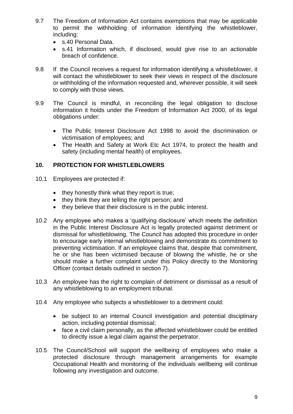- 9.7 The Freedom of Information Act contains exemptions that may be applicable to permit the withholding of information identifying the whistleblower, including:
	- s.40 Personal Data.
	- s.41 Information which, if disclosed, would give rise to an actionable breach of confidence.
- 9.8 If the Council receives a request for information identifying a whistleblower, it will contact the whistleblower to seek their views in respect of the disclosure or withholding of the information requested and, wherever possible, it will seek to comply with those views.
- 9.9 The Council is mindful, in reconciling the legal obligation to disclose information it holds under the Freedom of Information Act 2000, of its legal obligations under:
	- The Public Interest Disclosure Act 1998 to avoid the discrimination or victimisation of employees; and
	- The Health and Safety at Work Etc Act 1974, to protect the health and safety (including mental health) of employees.

#### <span id="page-10-0"></span>**10. PROTECTION FOR WHISTLEBLOWERS**

- 10.1 Employees are protected if:
	- they honestly think what they report is true;
	- they think they are telling the right person; and
	- they believe that their disclosure is in the public interest.
- 10.2 Any employee who makes a 'qualifying disclosure' which meets the definition in the Public Interest Disclosure Act is legally protected against detriment or dismissal for whistleblowing. The Council has adopted this procedure in order to encourage early internal whistleblowing and demonstrate its commitment to preventing victimisation. If an employee claims that, despite that commitment, he or she has been victimised because of blowing the whistle, he or she should make a further complaint under this Policy directly to the Monitoring Officer (contact details outlined in section 7).
- 10.3 An employee has the right to complain of detriment or dismissal as a result of any whistleblowing to an employment tribunal.
- 10.4 Any employee who subjects a whistleblower to a detriment could:
	- be subject to an internal Council investigation and potential disciplinary action, including potential dismissal;
	- face a civil claim personally, as the affected whistleblower could be entitled to directly issue a legal claim against the perpetrator.
- 10.5 The Council/School will support the wellbeing of employees who make a protected disclosure through management arrangements for example Occupational Health and monitoring of the individuals wellbeing will continue following any investigation and outcome.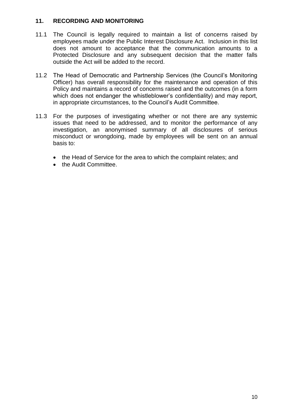#### <span id="page-11-0"></span>**11. RECORDING AND MONITORING**

- 11.1 The Council is legally required to maintain a list of concerns raised by employees made under the Public Interest Disclosure Act. Inclusion in this list does not amount to acceptance that the communication amounts to a Protected Disclosure and any subsequent decision that the matter falls outside the Act will be added to the record.
- 11.2 The Head of Democratic and Partnership Services (the Council's Monitoring Officer) has overall responsibility for the maintenance and operation of this Policy and maintains a record of concerns raised and the outcomes (in a form which does not endanger the whistleblower's confidentiality) and may report, in appropriate circumstances, to the Council's Audit Committee.
- 11.3 For the purposes of investigating whether or not there are any systemic issues that need to be addressed, and to monitor the performance of any investigation, an anonymised summary of all disclosures of serious misconduct or wrongdoing, made by employees will be sent on an annual basis to:
	- the Head of Service for the area to which the complaint relates; and
	- the Audit Committee.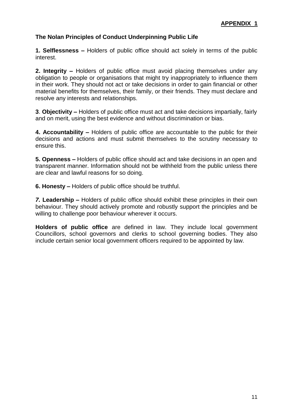### <span id="page-12-0"></span>**The Nolan Principles of Conduct Underpinning Public Life**

**1. Selflessness –** Holders of public office should act solely in terms of the public interest.

**2. Integrity –** Holders of public office must avoid placing themselves under any obligation to people or organisations that might try inappropriately to influence them in their work. They should not act or take decisions in order to gain financial or other material benefits for themselves, their family, or their friends. They must declare and resolve any interests and relationships.

**3**. **Objectivity –** Holders of public office must act and take decisions impartially, fairly and on merit, using the best evidence and without discrimination or bias.

**4. Accountability –** Holders of public office are accountable to the public for their decisions and actions and must submit themselves to the scrutiny necessary to ensure this.

**5. Openness –** Holders of public office should act and take decisions in an open and transparent manner. Information should not be withheld from the public unless there are clear and lawful reasons for so doing.

**6. Honesty –** Holders of public office should be truthful.

*7.* **Leadership –** Holders of public office should exhibit these principles in their own behaviour. They should actively promote and robustly support the principles and be willing to challenge poor behaviour wherever it occurs.

**Holders of public office** are defined in law. They include local government Councillors, school governors and clerks to school governing bodies. They also include certain senior local government officers required to be appointed by law.